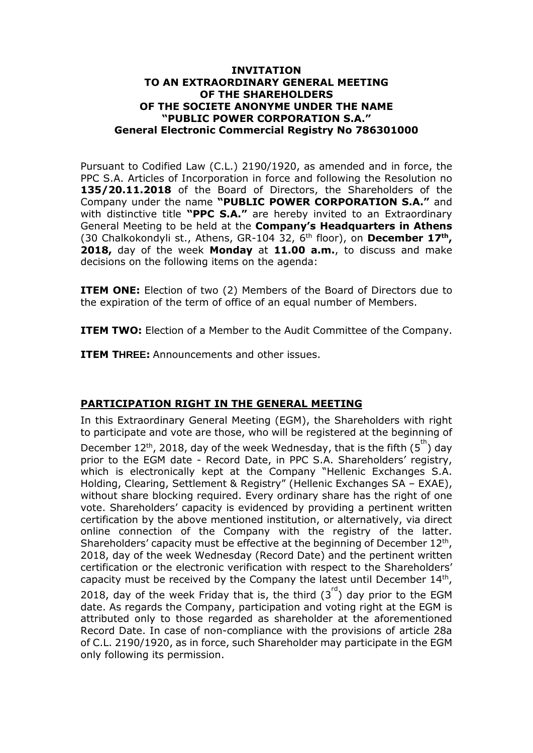#### **INVITATION TO AN EXTRAORDINARY GENERAL MEETING OF THE SHAREHOLDERS OF THE SOCIETE ANONYME UNDER THE NAME "PUBLIC POWER CORPORATION S.A." General Electronic Commercial Registry No 786301000**

Pursuant to Codified Law (C.L.) 2190/1920, as amended and in force, the PPC S.A. Articles of Incorporation in force and following the Resolution no **135/20.11.2018** of the Board of Directors, the Shareholders of the Company under the name **"PUBLIC POWER CORPORATION S.A."** and with distinctive title **"PPC S.A."** are hereby invited to an Extraordinary General Meeting to be held at the **Company's Headquarters in Athens** (30 Chalkokondyli st., Athens, GR-104 32, 6th floor), on **December 17th , 2018,** day of the week **Monday** at **11.00 a.m.**, to discuss and make decisions on the following items on the agenda:

**ITEM ONE:** Election of two (2) Members of the Board of Directors due to the expiration of the term of office of an equal number of Members.

**ITEM TWO:** Election of a Member to the Audit Committee of the Company.

**ITEM THREE:** Announcements and other issues.

# **PARTICIPATION RIGHT IN THE GENERAL MEETING**

In this Extraordinary General Meeting (EGM), the Shareholders with right to participate and vote are those, who will be registered at the beginning of December 12<sup>th</sup>, 2018, day of the week Wednesday, that is the fifth ( $5<sup>th</sup>$ ) day prior to the EGM date - Record Date, in PPC S.A. Shareholders' registry, which is electronically kept at the Company "Hellenic Exchanges S.A. Holding, Clearing, Settlement & Registry" (Hellenic Exchanges SA – EXAE), without share blocking required. Every ordinary share has the right of one vote. Shareholders' capacity is evidenced by providing a pertinent written certification by the above mentioned institution, or alternatively, via direct online connection of the Company with the registry of the latter. Shareholders' capacity must be effective at the beginning of December  $12<sup>th</sup>$ , 2018, day of the week Wednesday (Record Date) and the pertinent written certification or the electronic verification with respect to the Shareholders' capacity must be received by the Company the latest until December  $14<sup>th</sup>$ , 2018, day of the week Friday that is, the third  $(3<sup>rd</sup>)$  day prior to the EGM date. As regards the Company, participation and voting right at the EGM is attributed only to those regarded as shareholder at the aforementioned Record Date. In case of non-compliance with the provisions of article 28a of C.L. 2190/1920, as in force, such Shareholder may participate in the EGM only following its permission.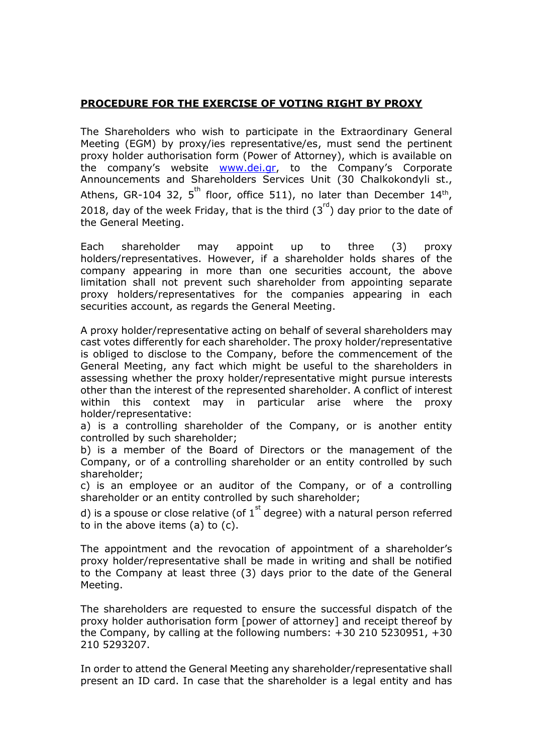### **PROCEDURE FOR THE EXERCISE OF VOTING RIGHT BY PROXY**

The Shareholders who wish to participate in the Extraordinary General Meeting (EGM) by proxy/ies representative/es, must send the pertinent proxy holder authorisation form (Power of Attorney), which is available on the company's website [www.dei.gr](http://www.dei.gr/), to the Company's Corporate Announcements and Shareholders Services Unit (30 Chalkokondyli st., Athens, GR-104 32, 5<sup>th</sup> floor, office 511), no later than December 14<sup>th</sup>, 2018, day of the week Friday, that is the third  $(3<sup>rd</sup>)$  day prior to the date of the General Meeting.

Each shareholder may appoint up to three (3) proxy holders/representatives. However, if a shareholder holds shares of the company appearing in more than one securities account, the above limitation shall not prevent such shareholder from appointing separate proxy holders/representatives for the companies appearing in each securities account, as regards the General Meeting.

A proxy holder/representative acting on behalf of several shareholders may cast votes differently for each shareholder. The proxy holder/representative is obliged to disclose to the Company, before the commencement of the General Meeting, any fact which might be useful to the shareholders in assessing whether the proxy holder/representative might pursue interests other than the interest of the represented shareholder. A conflict of interest within this context may in particular arise where the proxy holder/representative:

a) is a controlling shareholder of the Company, or is another entity controlled by such shareholder;

b) is a member of the Board of Directors or the management of the Company, or of a controlling shareholder or an entity controlled by such shareholder;

c) is an employee or an auditor of the Company, or of a controlling shareholder or an entity controlled by such shareholder;

d) is a spouse or close relative (of  $1<sup>st</sup>$  degree) with a natural person referred to in the above items (a) to (c).

The appointment and the revocation of appointment of a shareholder's proxy holder/representative shall be made in writing and shall be notified to the Company at least three (3) days prior to the date of the General Meeting.

The shareholders are requested to ensure the successful dispatch of the proxy holder authorisation form [power of attorney] and receipt thereof by the Company, by calling at the following numbers: +30 210 5230951, +30 210 5293207.

In order to attend the General Meeting any shareholder/representative shall present an ID card. In case that the shareholder is a legal entity and has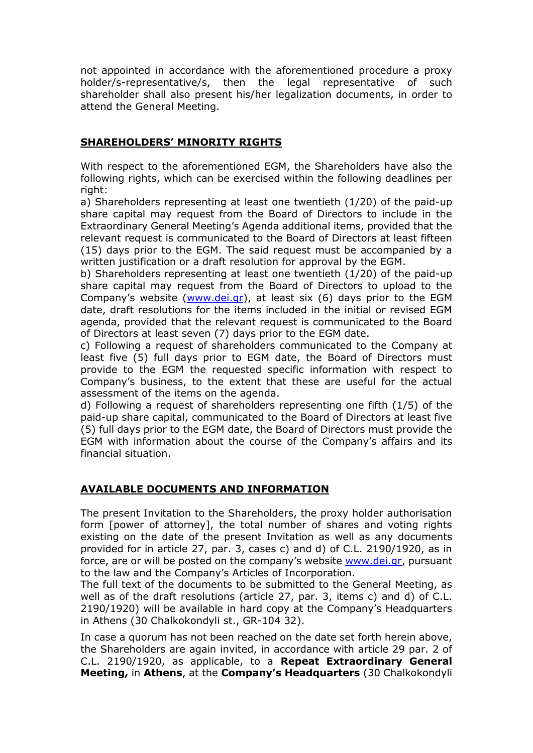not appointed in accordance with the aforementioned procedure a proxy holder/s-representative/s, then the legal representative of such shareholder shall also present his/her legalization documents, in order to attend the General Meeting.

### **SHAREHOLDERS' MINORITY RIGHTS**

With respect to the aforementioned EGM, the Shareholders have also the following rights, which can be exercised within the following deadlines per right:

a) Shareholders representing at least one twentieth (1/20) of the paid-up share capital may request from the Board of Directors to include in the Extraordinary General Meeting's Agenda additional items, provided that the relevant request is communicated to the Board of Directors at least fifteen (15) days prior to the EGM. The said request must be accompanied by a written justification or a draft resolution for approval by the EGM.

b) Shareholders representing at least one twentieth (1/20) of the paid-up share capital may request from the Board of Directors to upload to the Company's website ([www.dei.gr\)](http://www.dei.gr/), at least six (6) days prior to the EGM date, draft resolutions for the items included in the initial or revised EGM agenda, provided that the relevant request is communicated to the Board of Directors at least seven (7) days prior to the EGM date.

c) Following a request of shareholders communicated to the Company at least five (5) full days prior to EGM date, the Board of Directors must provide to the EGM the requested specific information with respect to Company's business, to the extent that these are useful for the actual assessment of the items on the agenda.

d) Following a request of shareholders representing one fifth (1/5) of the paid-up share capital, communicated to the Board of Directors at least five (5) full days prior to the EGM date, the Board of Directors must provide the EGM with information about the course of the Company's affairs and its financial situation.

# **AVAILABLE DOCUMENTS AND INFORMATION**

The present Invitation to the Shareholders, the proxy holder authorisation form [power of attorney], the total number of shares and voting rights existing on the date of the present Invitation as well as any documents provided for in article 27, par. 3, cases c) and d) of C.L. 2190/1920, as in force, are or will be posted on the company's website [www.dei.gr,](http://www.dei.gr/) pursuant to the law and the Company's Articles of Incorporation.

The full text of the documents to be submitted to the General Meeting, as well as of the draft resolutions (article 27, par. 3, items c) and d) of C.L. 2190/1920) will be available in hard copy at the Company's Headquarters in Athens (30 Chalkokondyli st., GR-104 32).

In case a quorum has not been reached on the date set forth herein above, the Shareholders are again invited, in accordance with article 29 par. 2 of C.L. 2190/1920, as applicable, to a **Repeat Extraordinary General Meeting,** in **Athens**, at the **Company's Headquarters** (30 Chalkokondyli